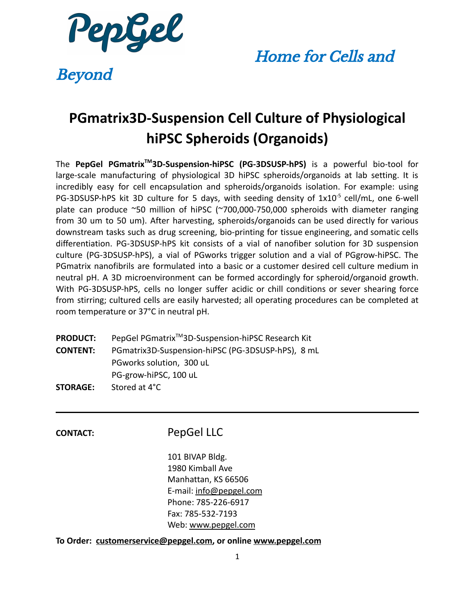

Beyond

## **PGmatrix3D-Suspension Cell Culture of Physiological hiPSC Spheroids (Organoids)**

The **PepGel PGmatrixTM 3D-Suspension-hiPSC (PG-3DSUSP-hPS)** is a powerful bio-tool for large-scale manufacturing of physiological 3D hiPSC spheroids/organoids at lab setting. It is incredibly easy for cell encapsulation and spheroids/organoids isolation. For example: using PG-3DSUSP-hPS kit 3D culture for 5 days, with seeding density of  $1x10^{-5}$  cell/mL, one 6-well plate can produce ~50 million of hiPSC (~700,000-750,000 spheroids with diameter ranging from 30 um to 50 um). After harvesting, spheroids/organoids can be used directly for various downstream tasks such as drug screening, bio-printing for tissue engineering, and somatic cells differentiation. PG-3DSUSP-hPS kit consists of a vial of nanofiber solution for 3D suspension culture (PG-3DSUSP-hPS), a vial of PGworks trigger solution and a vial of PGgrow-hiPSC. The PGmatrix nanofibrils are formulated into a basic or a customer desired cell culture medium in neutral pH. A 3D microenvironment can be formed accordingly for spheroid/organoid growth. With PG-3DSUSP-hPS, cells no longer suffer acidic or chill conditions or sever shearing force from stirring; cultured cells are easily harvested; all operating procedures can be completed at room temperature or 37°C in neutral pH.

| <b>PRODUCT:</b> | PepGel PGmatrix <sup>™</sup> 3D-Suspension-hiPSC Research Kit |  |  |  |  |  |
|-----------------|---------------------------------------------------------------|--|--|--|--|--|
| <b>CONTENT:</b> | PGmatrix3D-Suspension-hiPSC (PG-3DSUSP-hPS), 8 mL             |  |  |  |  |  |
|                 | PGworks solution, 300 uL                                      |  |  |  |  |  |
|                 | PG-grow-hiPSC, 100 uL                                         |  |  |  |  |  |
| <b>STORAGE:</b> | Stored at 4°C                                                 |  |  |  |  |  |

#### **CONTACT:** PepGel LLC

101 BIVAP Bldg. 1980 Kimball Ave Manhattan, KS 66506 E-mail: [info@pepgel.com](mailto:info@pepgel.com) Phone: 785-226-6917 Fax: 785-532-7193 Web: [www.pepgel.com](http://www.pepgel.com)

#### **To Order: [customerservice@pepgel.com,](mailto:customerservice@pepgel.com) or online [www.pepgel.com](http://www.pepgel.com)**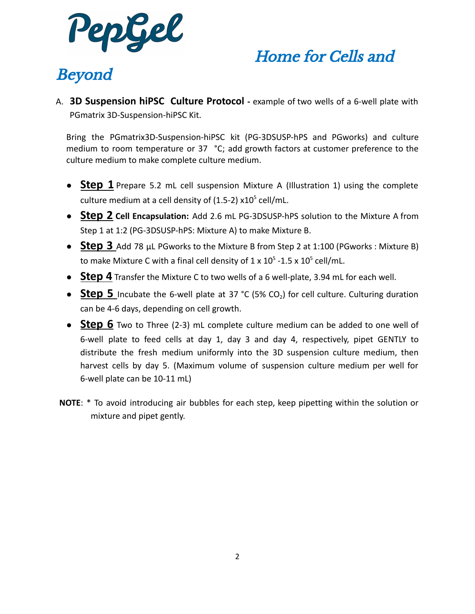

# Beyond

A. **3D Suspension hiPSC Culture Protocol -** example of two wells of a 6-well plate with PGmatrix 3D-Suspension-hiPSC Kit.

Bring the PGmatrix3D-Suspension-hiPSC kit (PG-3DSUSP-hPS and PGworks) and culture medium to room temperature or 37 °C; add growth factors at customer preference to the culture medium to make complete culture medium.

- **Step 1** Prepare 5.2 mL cell suspension Mixture A (Illustration 1) using the complete culture medium at a cell density of  $(1.5-2)$  x10<sup>5</sup> cell/mL.
- **Step 2 Cell Encapsulation:** Add 2.6 mL PG-3DSUSP-hPS solution to the Mixture A from Step 1 at 1:2 (PG-3DSUSP-hPS: Mixture A) to make Mixture B.
- **Step 3** Add 78 μL PGworks to the Mixture B from Step 2 at 1:100 (PGworks : Mixture B) to make Mixture C with a final cell density of 1 x  $10^5$  -1.5 x  $10^5$  cell/mL.
- **Step 4** Transfer the Mixture C to two wells of a 6 well-plate, 3.94 mL for each well.
- **Step 5** Incubate the 6-well plate at 37 °C (5% CO<sub>2</sub>) for cell culture. Culturing duration can be 4-6 days, depending on cell growth.
- **Step 6** Two to Three (2-3) mL complete culture medium can be added to one well of 6-well plate to feed cells at day 1, day 3 and day 4, respectively, pipet GENTLY to distribute the fresh medium uniformly into the 3D suspension culture medium, then harvest cells by day 5. (Maximum volume of suspension culture medium per well for 6-well plate can be 10-11 mL)
- **NOTE**: \* To avoid introducing air bubbles for each step, keep pipetting within the solution or mixture and pipet gently.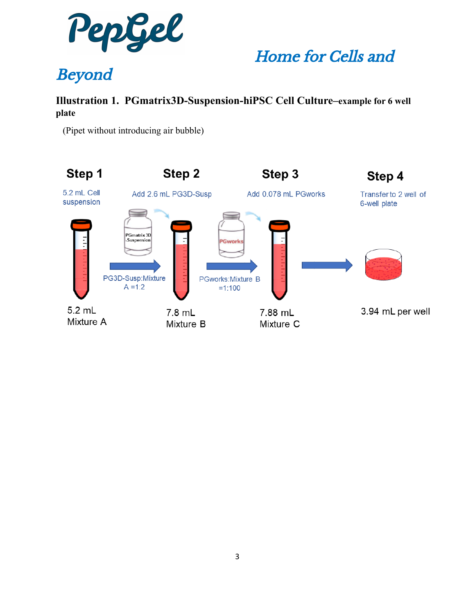

# Beyond

#### **Illustration 1. PGmatrix3D-Suspension-hiPSC Cell Culture–example for 6 well plate**

(Pipet without introducing air bubble)

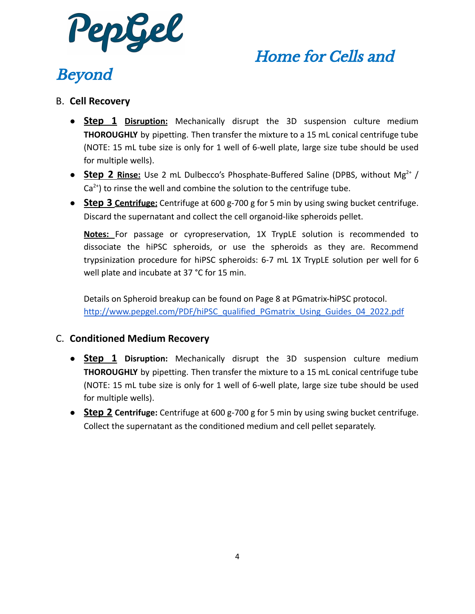

# Beyond

#### B. **Cell Recovery**

- **Step 1 Disruption:** Mechanically disrupt the 3D suspension culture medium **THOROUGHLY** by pipetting. Then transfer the mixture to a 15 mL conical centrifuge tube (NOTE: 15 mL tube size is only for 1 well of 6-well plate, large size tube should be used for multiple wells).
- **Step 2 Rinse:** Use 2 mL Dulbecco's Phosphate-Buffered Saline (DPBS, without Mg<sup>2+</sup> /  $Ca<sup>2+</sup>$ ) to rinse the well and combine the solution to the centrifuge tube.
- **Step 3 Centrifuge:** Centrifuge at 600 g-700 g for 5 min by using swing bucket centrifuge. Discard the supernatant and collect the cell organoid-like spheroids pellet.

**Notes:** For passage or cyropreservation, 1X TrypLE solution is recommended to dissociate the hiPSC spheroids, or use the spheroids as they are. Recommend trypsinization procedure for hiPSC spheroids: 6-7 mL 1X TrypLE solution per well for 6 well plate and incubate at 37 °C for 15 min.

Details on Spheroid breakup can be found on Page 8 at PGmatrix-hiPSC protocol. [http://www.pepgel.com/PDF/hiPSC\\_qualified\\_PGmatrix\\_Using\\_Guides\\_04\\_2022.pdf](http://www.pepgel.com/PDF/hiPSC_qualified_PGmatrix_Using_Guides_04_2022.pdf)

#### C. **Conditioned Medium Recovery**

- **Step 1 Disruption:** Mechanically disrupt the 3D suspension culture medium **THOROUGHLY** by pipetting. Then transfer the mixture to a 15 mL conical centrifuge tube (NOTE: 15 mL tube size is only for 1 well of 6-well plate, large size tube should be used for multiple wells).
- **Step 2 Centrifuge:** Centrifuge at 600 g-700 g for 5 min by using swing bucket centrifuge. Collect the supernatant as the conditioned medium and cell pellet separately.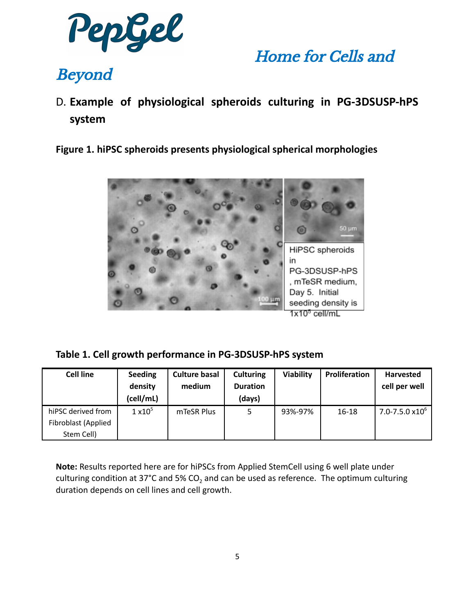

## Beyond

D. **Example of physiological spheroids culturing in PG-3DSUSP-hPS system**

**Figure 1. hiPSC spheroids presents physiological spherical morphologies**



**Table 1. Cell growth performance in PG-3DSUSP-hPS system**

| <b>Cell line</b>    | <b>Seeding</b>  | <b>Culture basal</b> | <b>Culturing</b> | Viability | Proliferation | <b>Harvested</b>          |
|---------------------|-----------------|----------------------|------------------|-----------|---------------|---------------------------|
|                     | density         | medium               | <b>Duration</b>  |           |               | cell per well             |
|                     | (cell/mL)       |                      | (days)           |           |               |                           |
| hiPSC derived from  | $1 \times 10^5$ | mTeSR Plus           | 5.               | 93%-97%   | $16-18$       | $7.0 - 7.5.0 \times 10^6$ |
| Fibroblast (Applied |                 |                      |                  |           |               |                           |
| Stem Cell)          |                 |                      |                  |           |               |                           |

**Note:** Results reported here are for hiPSCs from Applied StemCell using 6 well plate under culturing condition at 37°C and 5% CO<sub>2</sub> and can be used as reference. The optimum culturing duration depends on cell lines and cell growth.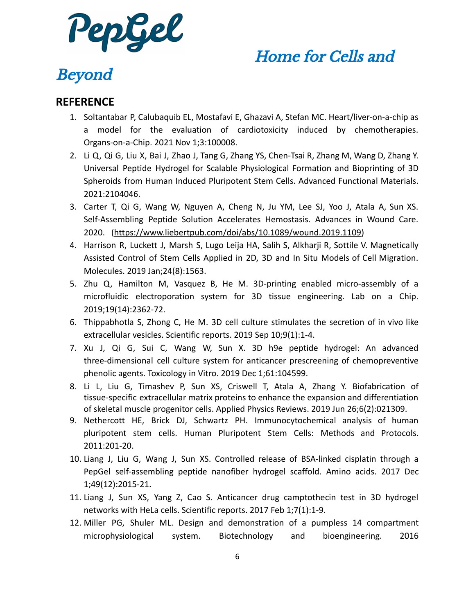

## Beyond

#### **REFERENCE**

- 1. Soltantabar P, Calubaquib EL, Mostafavi E, Ghazavi A, Stefan MC. Heart/liver-on-a-chip as a model for the evaluation of cardiotoxicity induced by chemotherapies. Organs-on-a-Chip. 2021 Nov 1;3:100008.
- 2. Li Q, Qi G, Liu X, Bai J, Zhao J, Tang G, Zhang YS, Chen‐Tsai R, Zhang M, Wang D, Zhang Y. Universal Peptide Hydrogel for Scalable Physiological Formation and Bioprinting of 3D Spheroids from Human Induced Pluripotent Stem Cells. Advanced Functional Materials. 2021:2104046.
- 3. Carter T, Qi G, Wang W, Nguyen A, Cheng N, Ju YM, Lee SJ, Yoo J, Atala A, Sun XS. Self-Assembling Peptide Solution Accelerates Hemostasis. Advances in Wound Care. 2020. [\(https://www.liebertpub.com/doi/abs/10.1089/wound.2019.1109\)](https://www.liebertpub.com/doi/abs/10.1089/wound.2019.1109)
- 4. Harrison R, Luckett J, Marsh S, Lugo Leija HA, Salih S, Alkharji R, Sottile V. Magnetically Assisted Control of Stem Cells Applied in 2D, 3D and In Situ Models of Cell Migration. Molecules. 2019 Jan;24(8):1563.
- 5. Zhu Q, Hamilton M, Vasquez B, He M. 3D-printing enabled micro-assembly of a microfluidic electroporation system for 3D tissue engineering. Lab on a Chip. 2019;19(14):2362-72.
- 6. Thippabhotla S, Zhong C, He M. 3D cell culture stimulates the secretion of in vivo like extracellular vesicles. Scientific reports. 2019 Sep 10;9(1):1-4.
- 7. Xu J, Qi G, Sui C, Wang W, Sun X. 3D h9e peptide hydrogel: An advanced three-dimensional cell culture system for anticancer prescreening of chemopreventive phenolic agents. Toxicology in Vitro. 2019 Dec 1;61:104599.
- 8. Li L, Liu G, Timashev P, Sun XS, Criswell T, Atala A, Zhang Y. Biofabrication of tissue-specific extracellular matrix proteins to enhance the expansion and differentiation of skeletal muscle progenitor cells. Applied Physics Reviews. 2019 Jun 26;6(2):021309.
- 9. Nethercott HE, Brick DJ, Schwartz PH. Immunocytochemical analysis of human pluripotent stem cells. Human Pluripotent Stem Cells: Methods and Protocols. 2011:201-20.
- 10. Liang J, Liu G, Wang J, Sun XS. Controlled release of BSA-linked cisplatin through a PepGel self-assembling peptide nanofiber hydrogel scaffold. Amino acids. 2017 Dec 1;49(12):2015-21.
- 11. Liang J, Sun XS, Yang Z, Cao S. Anticancer drug camptothecin test in 3D hydrogel networks with HeLa cells. Scientific reports. 2017 Feb 1;7(1):1-9.
- 12. Miller PG, Shuler ML. Design and demonstration of a pumpless 14 compartment microphysiological system. Biotechnology and bioengineering. 2016